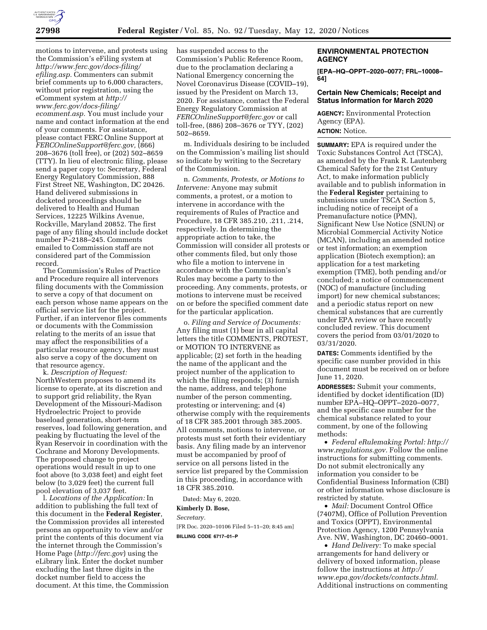

motions to intervene, and protests using the Commission's eFiling system at *[http://www.ferc.gov/docs-filing/](http://www.ferc.gov/docs-filing/efiling.asp) [efiling.asp.](http://www.ferc.gov/docs-filing/efiling.asp)* Commenters can submit brief comments up to 6,000 characters, without prior registration, using the eComment system at *[http://](http://www.ferc.gov/docs-filing/ecomment.asp) [www.ferc.gov/docs-filing/](http://www.ferc.gov/docs-filing/ecomment.asp)  [ecomment.asp.](http://www.ferc.gov/docs-filing/ecomment.asp)* You must include your name and contact information at the end of your comments. For assistance, please contact FERC Online Support at *[FERCOnlineSupport@ferc.gov,](mailto:FERCOnlineSupport@ferc.gov)* (866) 208–3676 (toll free), or (202) 502–8659 (TTY). In lieu of electronic filing, please send a paper copy to: Secretary, Federal Energy Regulatory Commission, 888 First Street NE, Washington, DC 20426. Hand delivered submissions in docketed proceedings should be delivered to Health and Human Services, 12225 Wilkins Avenue, Rockville, Maryland 20852. The first page of any filing should include docket number P–2188–245. Comments emailed to Commission staff are not considered part of the Commission record.

The Commission's Rules of Practice and Procedure require all intervenors filing documents with the Commission to serve a copy of that document on each person whose name appears on the official service list for the project. Further, if an intervenor files comments or documents with the Commission relating to the merits of an issue that may affect the responsibilities of a particular resource agency, they must also serve a copy of the document on that resource agency.

k. *Description of Request:*  NorthWestern proposes to amend its license to operate, at its discretion and to support grid reliability, the Ryan Development of the Missouri-Madison Hydroelectric Project to provide baseload generation, short-term reserves, load following generation, and peaking by fluctuating the level of the Ryan Reservoir in coordination with the Cochrane and Morony Developments. The proposed change to project operations would result in up to one foot above (to 3,038 feet) and eight feet below (to 3,029 feet) the current full pool elevation of 3,037 feet.

l. *Locations of the Application:* In addition to publishing the full text of this document in the **Federal Register**, the Commission provides all interested persons an opportunity to view and/or print the contents of this document via the internet through the Commission's Home Page (*<http://ferc.gov>*) using the eLibrary link. Enter the docket number excluding the last three digits in the docket number field to access the document. At this time, the Commission has suspended access to the Commission's Public Reference Room, due to the proclamation declaring a National Emergency concerning the Novel Coronavirus Disease (COVID–19), issued by the President on March 13, 2020. For assistance, contact the Federal Energy Regulatory Commission at *[FERCOnlineSupport@ferc.gov](mailto:FERCOnlineSupport@ferc.gov)* or call toll-free, (886) 208–3676 or TYY, (202) 502–8659.

m. Individuals desiring to be included on the Commission's mailing list should so indicate by writing to the Secretary of the Commission.

n. *Comments, Protests, or Motions to Intervene:* Anyone may submit comments, a protest, or a motion to intervene in accordance with the requirements of Rules of Practice and Procedure, 18 CFR 385.210, .211, .214, respectively. In determining the appropriate action to take, the Commission will consider all protests or other comments filed, but only those who file a motion to intervene in accordance with the Commission's Rules may become a party to the proceeding. Any comments, protests, or motions to intervene must be received on or before the specified comment date for the particular application.

o. *Filing and Service of Documents:*  Any filing must (1) bear in all capital letters the title COMMENTS, PROTEST, or MOTION TO INTERVENE as applicable; (2) set forth in the heading the name of the applicant and the project number of the application to which the filing responds; (3) furnish the name, address, and telephone number of the person commenting, protesting or intervening; and (4) otherwise comply with the requirements of 18 CFR 385.2001 through 385.2005. All comments, motions to intervene, or protests must set forth their evidentiary basis. Any filing made by an intervenor must be accompanied by proof of service on all persons listed in the service list prepared by the Commission in this proceeding, in accordance with 18 CFR 385.2010.

Dated: May 6, 2020.

**Kimberly D. Bose,** 

*Secretary.* 

[FR Doc. 2020–10106 Filed 5–11–20; 8:45 am] **BILLING CODE 6717–01–P** 

## **ENVIRONMENTAL PROTECTION AGENCY**

**[EPA–HQ–OPPT–2020–0077; FRL–10008– 64]** 

## **Certain New Chemicals; Receipt and Status Information for March 2020**

**AGENCY:** Environmental Protection Agency (EPA). **ACTION:** Notice.

**SUMMARY:** EPA is required under the Toxic Substances Control Act (TSCA), as amended by the Frank R. Lautenberg Chemical Safety for the 21st Century Act, to make information publicly available and to publish information in the **Federal Register** pertaining to submissions under TSCA Section 5, including notice of receipt of a Premanufacture notice (PMN), Significant New Use Notice (SNUN) or Microbial Commercial Activity Notice (MCAN), including an amended notice or test information; an exemption application (Biotech exemption); an application for a test marketing exemption (TME), both pending and/or concluded; a notice of commencement (NOC) of manufacture (including import) for new chemical substances; and a periodic status report on new chemical substances that are currently under EPA review or have recently concluded review. This document covers the period from 03/01/2020 to 03/31/2020.

**DATES:** Comments identified by the specific case number provided in this document must be received on or before June 11, 2020.

**ADDRESSES:** Submit your comments, identified by docket identification (ID) number EPA–HQ–OPPT–2020–0077, and the specific case number for the chemical substance related to your comment, by one of the following methods:

• *Federal eRulemaking Portal: [http://](http://www.regulations.gov)  [www.regulations.gov.](http://www.regulations.gov)* Follow the online instructions for submitting comments. Do not submit electronically any information you consider to be Confidential Business Information (CBI) or other information whose disclosure is restricted by statute.

• *Mail:* Document Control Office (7407M), Office of Pollution Prevention and Toxics (OPPT), Environmental Protection Agency, 1200 Pennsylvania Ave. NW, Washington, DC 20460–0001.

• *Hand Delivery:* To make special arrangements for hand delivery or delivery of boxed information, please follow the instructions at *[http://](http://www.epa.gov/dockets/contacts.html) [www.epa.gov/dockets/contacts.html.](http://www.epa.gov/dockets/contacts.html)*  Additional instructions on commenting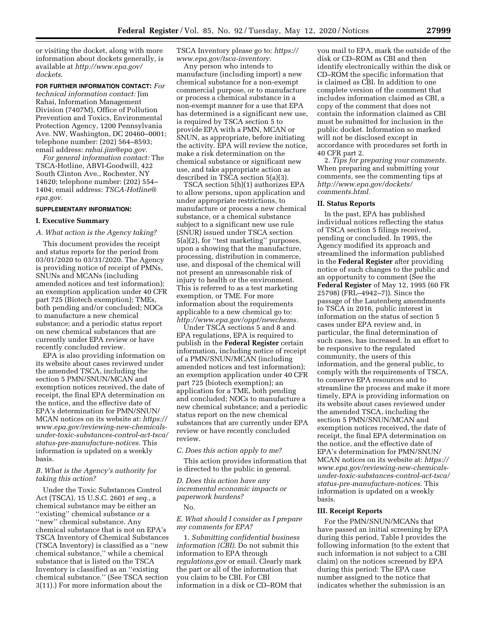or visiting the docket, along with more information about dockets generally, is available at *[http://www.epa.gov/](http://www.epa.gov/dockets) [dockets.](http://www.epa.gov/dockets)* 

**FOR FURTHER INFORMATION CONTACT:** *For technical information contact:* Jim Rahai, Information Management Division (7407M), Office of Pollution Prevention and Toxics, Environmental Protection Agency, 1200 Pennsylvania Ave. NW, Washington, DC 20460–0001; telephone number: (202) 564–8593; email address: *[rahai.jim@epa.gov.](mailto:rahai.jim@epa.gov)* 

*For general information contact:* The TSCA-Hotline, ABVI-Goodwill, 422 South Clinton Ave., Rochester, NY 14620; telephone number: (202) 554– 1404; email address: *[TSCA-Hotline@](mailto:TSCA-Hotline@epa.gov) [epa.gov.](mailto:TSCA-Hotline@epa.gov)* 

#### **SUPPLEMENTARY INFORMATION:**

#### **I. Executive Summary**

## *A. What action is the Agency taking?*

This document provides the receipt and status reports for the period from 03/01/2020 to 03/31/2020. The Agency is providing notice of receipt of PMNs, SNUNs and MCANs (including amended notices and test information); an exemption application under 40 CFR part 725 (Biotech exemption); TMEs, both pending and/or concluded; NOCs to manufacture a new chemical substance; and a periodic status report on new chemical substances that are currently under EPA review or have recently concluded review.

EPA is also providing information on its website about cases reviewed under the amended TSCA, including the section 5 PMN/SNUN/MCAN and exemption notices received, the date of receipt, the final EPA determination on the notice, and the effective date of EPA's determination for PMN/SNUN/ MCAN notices on its website at: *[https://](https://www.epa.gov/reviewing-new-chemicals-under-toxic-substances-control-act-tsca/status-pre-manufacture-notices) [www.epa.gov/reviewing-new-chemicals](https://www.epa.gov/reviewing-new-chemicals-under-toxic-substances-control-act-tsca/status-pre-manufacture-notices)[under-toxic-substances-control-act-tsca/](https://www.epa.gov/reviewing-new-chemicals-under-toxic-substances-control-act-tsca/status-pre-manufacture-notices)  [status-pre-manufacture-notices.](https://www.epa.gov/reviewing-new-chemicals-under-toxic-substances-control-act-tsca/status-pre-manufacture-notices)* This information is updated on a weekly basis.

## *B. What is the Agency's authority for taking this action?*

Under the Toxic Substances Control Act (TSCA), 15 U.S.C. 2601 *et seq.,* a chemical substance may be either an ''existing'' chemical substance or a ''new'' chemical substance. Any chemical substance that is not on EPA's TSCA Inventory of Chemical Substances (TSCA Inventory) is classified as a ''new chemical substance,'' while a chemical substance that is listed on the TSCA Inventory is classified as an ''existing chemical substance.'' (See TSCA section 3(11).) For more information about the

TSCA Inventory please go to: *[https://](https://www.epa.gov/tsca-inventory) [www.epa.gov/tsca-inventory.](https://www.epa.gov/tsca-inventory)* 

Any person who intends to manufacture (including import) a new chemical substance for a non-exempt commercial purpose, or to manufacture or process a chemical substance in a non-exempt manner for a use that EPA has determined is a significant new use, is required by TSCA section 5 to provide EPA with a PMN, MCAN or SNUN, as appropriate, before initiating the activity. EPA will review the notice, make a risk determination on the chemical substance or significant new use, and take appropriate action as described in TSCA section 5(a)(3).

TSCA section 5(h)(1) authorizes EPA to allow persons, upon application and under appropriate restrictions, to manufacture or process a new chemical substance, or a chemical substance subject to a significant new use rule (SNUR) issued under TSCA section 5(a)(2), for ''test marketing'' purposes, upon a showing that the manufacture, processing, distribution in commerce, use, and disposal of the chemical will not present an unreasonable risk of injury to health or the environment. This is referred to as a test marketing exemption, or TME. For more information about the requirements applicable to a new chemical go to: *[http://www.epa.gov/oppt/newchems.](http://www.epa.gov/oppt/newchems)* 

Under TSCA sections 5 and 8 and EPA regulations, EPA is required to publish in the **Federal Register** certain information, including notice of receipt of a PMN/SNUN/MCAN (including amended notices and test information); an exemption application under 40 CFR part 725 (biotech exemption); an application for a TME, both pending and concluded; NOCs to manufacture a new chemical substance; and a periodic status report on the new chemical substances that are currently under EPA review or have recently concluded review.

#### *C. Does this action apply to me?*

This action provides information that is directed to the public in general.

*D. Does this action have any incremental economic impacts or paperwork burdens?* 

No.

### *E. What should I consider as I prepare my comments for EPA?*

1. *Submitting confidential business information (CBI).* Do not submit this information to EPA through *regulations.gov* or email. Clearly mark the part or all of the information that you claim to be CBI. For CBI information in a disk or CD–ROM that

you mail to EPA, mark the outside of the disk or CD–ROM as CBI and then identify electronically within the disk or CD–ROM the specific information that is claimed as CBI. In addition to one complete version of the comment that includes information claimed as CBI, a copy of the comment that does not contain the information claimed as CBI must be submitted for inclusion in the public docket. Information so marked will not be disclosed except in accordance with procedures set forth in 40 CFR part 2.

2. *Tips for preparing your comments.*  When preparing and submitting your comments, see the commenting tips at *[http://www.epa.gov/dockets/](http://www.epa.gov/dockets/comments.html)  [comments.html.](http://www.epa.gov/dockets/comments.html)* 

### **II. Status Reports**

In the past, EPA has published individual notices reflecting the status of TSCA section 5 filings received, pending or concluded. In 1995, the Agency modified its approach and streamlined the information published in the **Federal Register** after providing notice of such changes to the public and an opportunity to comment (See the **Federal Register** of May 12, 1995 (60 FR 25798) (FRL–4942–7)). Since the passage of the Lautenberg amendments to TSCA in 2016, public interest in information on the status of section 5 cases under EPA review and, in particular, the final determination of such cases, has increased. In an effort to be responsive to the regulated community, the users of this information, and the general public, to comply with the requirements of TSCA, to conserve EPA resources and to streamline the process and make it more timely, EPA is providing information on its website about cases reviewed under the amended TSCA, including the section 5 PMN/SNUN/MCAN and exemption notices received, the date of receipt, the final EPA determination on the notice, and the effective date of EPA's determination for PMN/SNUN/ MCAN notices on its website at: *[https://](https://www.epa.gov/reviewing-new-chemicals-under-toxic-substances-control-act-tsca/status-pre-manufacture-notices) [www.epa.gov/reviewing-new-chemicals](https://www.epa.gov/reviewing-new-chemicals-under-toxic-substances-control-act-tsca/status-pre-manufacture-notices)[under-toxic-substances-control-act-tsca/](https://www.epa.gov/reviewing-new-chemicals-under-toxic-substances-control-act-tsca/status-pre-manufacture-notices)  [status-pre-manufacture-notices.](https://www.epa.gov/reviewing-new-chemicals-under-toxic-substances-control-act-tsca/status-pre-manufacture-notices)* This information is updated on a weekly basis.

### **III. Receipt Reports**

For the PMN/SNUN/MCANs that have passed an initial screening by EPA during this period, Table I provides the following information (to the extent that such information is not subject to a CBI claim) on the notices screened by EPA during this period: The EPA case number assigned to the notice that indicates whether the submission is an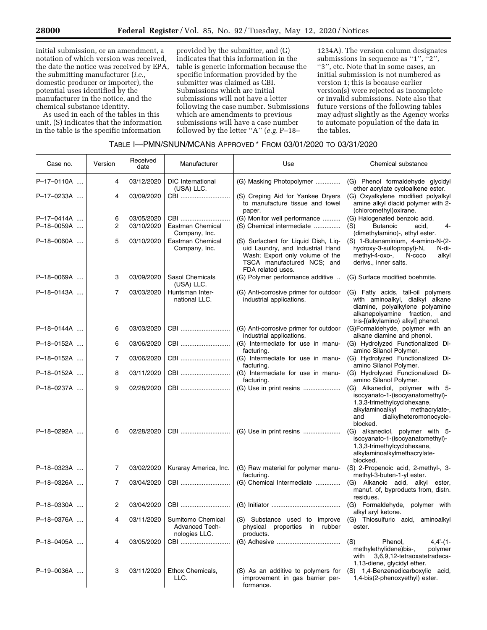initial submission, or an amendment, a notation of which version was received, the date the notice was received by EPA, the submitting manufacturer (*i.e.,*  domestic producer or importer), the potential uses identified by the manufacturer in the notice, and the chemical substance identity.

As used in each of the tables in this unit, (S) indicates that the information in the table is the specific information

provided by the submitter, and (G) indicates that this information in the table is generic information because the specific information provided by the submitter was claimed as CBI. Submissions which are initial submissions will not have a letter following the case number. Submissions which are amendments to previous submissions will have a case number followed by the letter ''A'' (*e.g.* P–18–

1234A). The version column designates submissions in sequence as "1",  $\frac{1}{1}$ ", ''3'', etc. Note that in some cases, an initial submission is not numbered as version 1; this is because earlier version(s) were rejected as incomplete or invalid submissions. Note also that future versions of the following tables may adjust slightly as the Agency works to automate population of the data in the tables.

| TABLE I-PMN/SNUN/MCANS APPROVED <sup>*</sup> FROM 03/01/2020 TO 03/31/2020 |  |
|----------------------------------------------------------------------------|--|
|----------------------------------------------------------------------------|--|

| Case no.                 | Version        | Received<br>date         | Manufacturer                                                | Use                                                                                                                                                            | Chemical substance                                                                                                                                                                    |
|--------------------------|----------------|--------------------------|-------------------------------------------------------------|----------------------------------------------------------------------------------------------------------------------------------------------------------------|---------------------------------------------------------------------------------------------------------------------------------------------------------------------------------------|
| P-17-0110A               | 4              | 03/12/2020               | <b>DIC</b> International<br>(USA) LLC.                      | (G) Masking Photopolymer                                                                                                                                       | (G) Phenol formaldehyde glycidyl<br>ether acrylate cycloalkene ester.                                                                                                                 |
| P-17-0233A               | 4              | 03/09/2020               | CBI                                                         | (S) Creping Aid for Yankee Dryers<br>to manufacture tissue and towel<br>paper.                                                                                 | (G) Oxyalkylene modified polyalkyl<br>amine alkyl diacid polymer with 2-<br>(chloromethyl) oxirane.                                                                                   |
| P-17-0414A<br>P-18-0059A | 6<br>2         | 03/05/2020<br>03/10/2020 | CBI<br>Eastman Chemical<br>Company, Inc.                    | (G) Monitor well performance<br>(S) Chemical intermediate                                                                                                      | (G) Halogenated benzoic acid.<br><b>Butanoic</b><br>acid,<br>(S)<br>4-<br>(dimethylamino)-, ethyl ester.                                                                              |
| P-18-0060A               | 5              | 03/10/2020               | Eastman Chemical<br>Company, Inc.                           | (S) Surfactant for Liquid Dish, Liq-<br>uid Laundry, and Industrial Hand<br>Wash; Export only volume of the<br>TSCA manufactured NCS; and<br>FDA related uses. | (S) 1-Butanaminium, 4-amino-N-(2-<br>hydroxy-3-sulfopropyl)-N,<br>N-di-<br>methyl-4-oxo-,<br>N-coco<br>alkyl<br>derivs., inner salts.                                                 |
| P-18-0069A               | 3              | 03/09/2020               | Sasol Chemicals<br>(USA) LLC.                               | (G) Polymer performance additive                                                                                                                               | (G) Surface modified boehmite.                                                                                                                                                        |
| P-18-0143A               | $\overline{7}$ | 03/03/2020               | Huntsman Inter-<br>national LLC.                            | (G) Anti-corrosive primer for outdoor<br>industrial applications.                                                                                              | (G) Fatty acids, tall-oil polymers<br>with aminoalkyl, dialkyl alkane<br>diamine, polyalkylene polyamine<br>alkanepolyamine fraction,<br>and<br>tris-[(alkylamino) alkyl] phenol.     |
| P-18-0144A               | 6              | 03/03/2020               | CBI                                                         | (G) Anti-corrosive primer for outdoor<br>industrial applications.                                                                                              | (G)Formaldehyde, polymer with an<br>alkane diamine and phenol.                                                                                                                        |
| P-18-0152A               | 6              | 03/06/2020               | CBI                                                         | (G) Intermediate for use in manu-<br>facturing.                                                                                                                | (G) Hydrolyzed Functionalized Di-<br>amino Silanol Polymer.                                                                                                                           |
| P-18-0152A               | 7              | 03/06/2020               | CBI                                                         | (G) Intermediate for use in manu-<br>facturing.                                                                                                                | (G) Hydrolyzed Functionalized Di-<br>amino Silanol Polymer.                                                                                                                           |
| P-18-0152A               | 8              | 03/11/2020               | CBI                                                         | (G) Intermediate for use in manu-<br>facturing.                                                                                                                | (G) Hydrolyzed Functionalized Di-<br>amino Silanol Polymer.                                                                                                                           |
| P-18-0237A               | 9              | 02/28/2020               | CBI                                                         |                                                                                                                                                                | (G) Alkanediol, polymer with 5-<br>isocyanato-1-(isocyanatomethyl)-<br>1,3,3-trimethylcyclohexane,<br>alkylaminoalkyl<br>methacrylate-,<br>dialkylheteromonocycle-<br>and<br>blocked. |
| P-18-0292A               | 6              | 02/28/2020               | CBI                                                         |                                                                                                                                                                | (G) alkanediol, polymer with 5-<br>isocyanato-1-(isocyanatomethyl)-<br>1,3,3-trimethylcyclohexane,<br>alkylaminoalkylmethacrylate-<br>blocked.                                        |
| P-18-0323A               | 7              | 03/02/2020               | Kuraray America, Inc.                                       | (G) Raw material for polymer manu-<br>facturing.                                                                                                               | (S) 2-Propenoic acid, 2-methyl-, 3-<br>methyl-3-buten-1-yl ester.                                                                                                                     |
| P-18-0326A               | 7              | 03/04/2020               | CBI                                                         | (G) Chemical Intermediate                                                                                                                                      | (G) Alkanoic acid, alkyl ester,<br>manuf. of, byproducts from, distn.<br>residues.                                                                                                    |
| P-18-0330A               | 2              | 03/04/2020               |                                                             |                                                                                                                                                                | (G) Formaldehyde, polymer with<br>alkyl aryl ketone.                                                                                                                                  |
| P-18-0376A               | 4              | 03/11/2020               | Sumitomo Chemical<br><b>Advanced Tech-</b><br>nologies LLC. | (S) Substance used to improve<br>physical properties<br>in rubber<br>products.                                                                                 | (G) Thiosulfuric acid, aminoalkyl<br>ester.                                                                                                                                           |
| P-18-0405A               | 4              | 03/05/2020               | CBI                                                         |                                                                                                                                                                | (S)<br>Phenol,<br>$4,4'$ (1-<br>methylethylidene)bis-,<br>polymer<br>3,6,9,12-tetraoxatetradeca-<br>with<br>1,13-diene, glycidyl ether.                                               |
| P-19-0036A               | 3              | 03/11/2020               | Ethox Chemicals,<br>LLC.                                    | (S) As an additive to polymers for<br>improvement in gas barrier per-<br>formance.                                                                             | (S) 1,4-Benzenedicarboxylic acid,<br>1,4-bis(2-phenoxyethyl) ester.                                                                                                                   |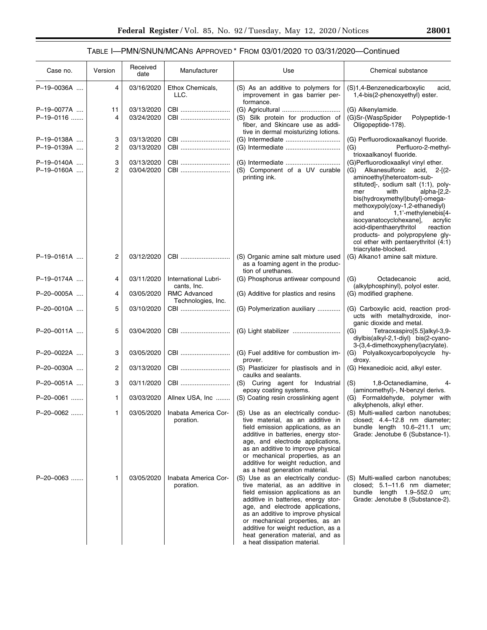# TABLE I—PMN/SNUN/MCANS APPROVED \* FROM 03/01/2020 TO 03/31/2020—Continued

| Case no.                 | Version             | Received<br>date         | Use<br>Manufacturer                                                                                            |                                                                                                                                                                                                                                                                                                                                                                            | Chemical substance                                                                                                                                                                                                                                                                                                                                                                                                                                               |  |
|--------------------------|---------------------|--------------------------|----------------------------------------------------------------------------------------------------------------|----------------------------------------------------------------------------------------------------------------------------------------------------------------------------------------------------------------------------------------------------------------------------------------------------------------------------------------------------------------------------|------------------------------------------------------------------------------------------------------------------------------------------------------------------------------------------------------------------------------------------------------------------------------------------------------------------------------------------------------------------------------------------------------------------------------------------------------------------|--|
| P-19-0036A               | 4                   | 03/16/2020               | Ethox Chemicals,<br>(S) As an additive to polymers for<br>LLC.<br>improvement in gas barrier per-<br>formance. |                                                                                                                                                                                                                                                                                                                                                                            | (S)1,4-Benzenedicarboxylic<br>acid,<br>1,4-bis(2-phenoxyethyl) ester.                                                                                                                                                                                                                                                                                                                                                                                            |  |
| P-19-0077A               | 11                  | 03/13/2020               | CBI                                                                                                            |                                                                                                                                                                                                                                                                                                                                                                            | (G) Alkenylamide.                                                                                                                                                                                                                                                                                                                                                                                                                                                |  |
| P-19-0116                | 4                   | 03/24/2020               | CBI                                                                                                            | (S) Silk protein for production of<br>fiber, and Skincare use as addi-<br>tive in dermal moisturizing lotions.                                                                                                                                                                                                                                                             | (G)Sr-(WaspSpider<br>Polypeptide-1<br>Oligopeptide-178).                                                                                                                                                                                                                                                                                                                                                                                                         |  |
| P-19-0138A               | 3                   | 03/13/2020               | CBI                                                                                                            |                                                                                                                                                                                                                                                                                                                                                                            | (G) Perfluorodioxaalkanoyl fluoride.                                                                                                                                                                                                                                                                                                                                                                                                                             |  |
| P-19-0139A               | $\overline{c}$      | 03/13/2020               | CBI                                                                                                            |                                                                                                                                                                                                                                                                                                                                                                            | (G)<br>Perfluoro-2-methyl-<br>trioxaalkanoyl fluoride.                                                                                                                                                                                                                                                                                                                                                                                                           |  |
| P-19-0140A<br>P-19-0160A | 3<br>$\overline{2}$ | 03/13/2020<br>03/04/2020 | CBI<br>CBI                                                                                                     | (S) Component of a UV curable<br>printing ink.                                                                                                                                                                                                                                                                                                                             | (G)Perfluorodioxaalkyl vinyl ether.<br>(G) Alkanesulfonic acid, 2-[(2-<br>aminoethyl)heteroatom-sub-<br>stituted]-, sodium salt (1:1), poly-<br>with<br>alpha-[2,2-<br>mer<br>bis(hydroxymethyl)butyl]-omega-<br>methoxypoly(oxy-1,2-ethanediyl)<br>1,1'-methylenebis[4-<br>and<br>isocyanatocyclohexane],<br>acrylic<br>acid-dipenthaerythritol<br>reaction<br>products- and polypropylene gly-<br>col ether with pentaerythritol (4:1)<br>triacrylate-blocked. |  |
| P-19-0161A               | 2                   | 03/12/2020               | CBI                                                                                                            | (S) Organic amine salt mixture used<br>as a foaming agent in the produc-<br>tion of urethanes.                                                                                                                                                                                                                                                                             | (G) Alkano1 amine salt mixture.                                                                                                                                                                                                                                                                                                                                                                                                                                  |  |
| P-19-0174A               | 4                   | 03/11/2020               | International Lubri-<br>cants, Inc.                                                                            | (G) Phosphorus antiwear compound                                                                                                                                                                                                                                                                                                                                           | (G)<br>Octadecanoic<br>acid,<br>(alkylphosphinyl), polyol ester.                                                                                                                                                                                                                                                                                                                                                                                                 |  |
| P-20-0005A               | 4                   | 03/05/2020               | <b>RMC Advanced</b><br>Technologies, Inc.                                                                      | (G) Additive for plastics and resins                                                                                                                                                                                                                                                                                                                                       | (G) modified graphene.                                                                                                                                                                                                                                                                                                                                                                                                                                           |  |
| P-20-0010A               | 5                   | 03/10/2020               | CBI                                                                                                            | (G) Polymerization auxiliary                                                                                                                                                                                                                                                                                                                                               | (G) Carboxylic acid, reaction prod-<br>ucts with metalhydroxide, inor-<br>ganic dioxide and metal.                                                                                                                                                                                                                                                                                                                                                               |  |
| P-20-0011A               | 5                   | 03/04/2020               | CBI                                                                                                            |                                                                                                                                                                                                                                                                                                                                                                            | (G)<br>Tetraoxaspiro[5.5]alkyl-3,9-<br>diylbis(alkyl-2,1-diyl) bis(2-cyano-<br>3-(3,4-dimethoxyphenyl)acrylate).                                                                                                                                                                                                                                                                                                                                                 |  |
| P-20-0022A               | 3                   | 03/05/2020               | CBI                                                                                                            | (G) Fuel additive for combustion im-<br>prover.                                                                                                                                                                                                                                                                                                                            | (G) Polyalkoxycarbopolycycle hy-<br>droxy.                                                                                                                                                                                                                                                                                                                                                                                                                       |  |
| P-20-0030A               | 2                   | 03/13/2020               | CBI                                                                                                            | (S) Plasticizer for plastisols and in<br>caulks and sealants.                                                                                                                                                                                                                                                                                                              | (G) Hexanedioic acid, alkyl ester.                                                                                                                                                                                                                                                                                                                                                                                                                               |  |
| P-20-0051A               | 3                   | 03/11/2020               | CBI                                                                                                            | (S) Curing agent for Industrial<br>epoxy coating systems.                                                                                                                                                                                                                                                                                                                  | (S)<br>1,8-Octanediamine,<br>4-<br>(aminomethyl)-, N-benzyl derivs.                                                                                                                                                                                                                                                                                                                                                                                              |  |
| P-20-0061                | 1                   | 03/03/2020               | Allnex USA, Inc                                                                                                | (S) Coating resin crosslinking agent                                                                                                                                                                                                                                                                                                                                       | (G) Formaldehyde, polymer with<br>alkylphenols, alkyl ether.                                                                                                                                                                                                                                                                                                                                                                                                     |  |
| P-20-0062                | 1                   | 03/05/2020               | Inabata America Cor-<br>poration.                                                                              | (S) Use as an electrically conduc-<br>tive material, as an additive in<br>field emission applications, as an<br>additive in batteries, energy stor-<br>age, and electrode applications,<br>as an additive to improve physical<br>or mechanical properties, as an<br>additive for weight reduction, and<br>as a heat generation material.                                   | (S) Multi-walled carbon nanotubes;<br>closed; 4.4-12.8 nm diameter;<br>bundle length 10.6-211.1 um;<br>Grade: Jenotube 6 (Substance-1).                                                                                                                                                                                                                                                                                                                          |  |
| P-20-0063                | 1                   | 03/05/2020               | Inabata America Cor-<br>poration.                                                                              | (S) Use as an electrically conduc-<br>tive material, as an additive in<br>field emission applications as an<br>additive in batteries, energy stor-<br>age, and electrode applications,<br>as an additive to improve physical<br>or mechanical properties, as an<br>additive for weight reduction, as a<br>heat generation material, and as<br>a heat dissipation material. | (S) Multi-walled carbon nanotubes;<br>closed; 5.1-11.6 nm diameter;<br>bundle $length$ 1.9-552.0 $um$ ;<br>Grade: Jenotube 8 (Substance-2).                                                                                                                                                                                                                                                                                                                      |  |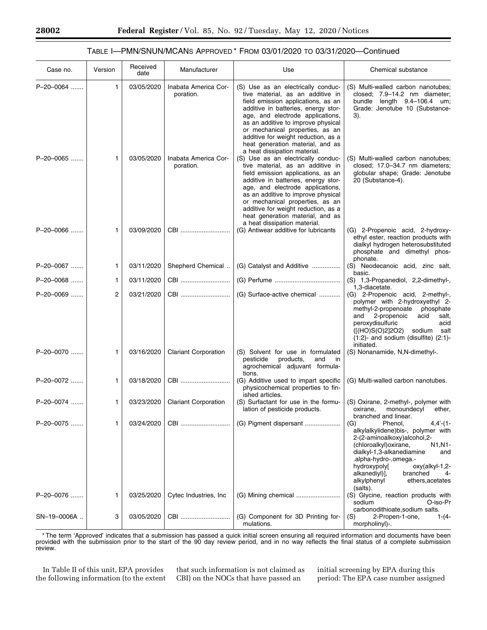## TABLE I—PMN/SNUN/MCANS APPROVED \* FROM 03/01/2020 TO 03/31/2020—Continued

| Case no.    | Version | Received<br>date | Manufacturer                      | Use                                                                                                                                                                                                                                                                                                                                                                         | Chemical substance                                                                                                                                                                                                                                                                                                           |
|-------------|---------|------------------|-----------------------------------|-----------------------------------------------------------------------------------------------------------------------------------------------------------------------------------------------------------------------------------------------------------------------------------------------------------------------------------------------------------------------------|------------------------------------------------------------------------------------------------------------------------------------------------------------------------------------------------------------------------------------------------------------------------------------------------------------------------------|
| P-20-0064   | 1       | 03/05/2020       | Inabata America Cor-<br>poration. | (S) Use as an electrically conduc-<br>tive material, as an additive in<br>field emission applications, as an<br>additive in batteries, energy stor-<br>age, and electrode applications,<br>as an additive to improve physical<br>or mechanical properties, as an<br>additive for weight reduction, as a<br>heat generation material, and as<br>a heat dissipation material. | (S) Multi-walled carbon nanotubes;<br>closed; 7.9-14.2 nm diameter;<br>bundle length 9.4-106.4 um;<br>Grade: Jenotube 10 (Substance-<br>3).                                                                                                                                                                                  |
| P-20-0065   | 1       | 03/05/2020       | Inabata America Cor-<br>poration. | (S) Use as an electrically conduc-<br>tive material, as an additive in<br>field emission applications, as an<br>additive in batteries, energy stor-<br>age, and electrode applications,<br>as an additive to improve physical<br>or mechanical properties, as an<br>additive for weight reduction, as a<br>heat generation material, and as<br>a heat dissipation material. | (S) Multi-walled carbon nanotubes;<br>closed; 17.0-34.7 nm diameters;<br>globular shape; Grade: Jenotube<br>20 (Substance-4).                                                                                                                                                                                                |
| P-20-0066   | 1       | 03/09/2020       | CBI                               | (G) Antiwear additive for lubricants                                                                                                                                                                                                                                                                                                                                        | (G) 2-Propenoic acid, 2-hydroxy-<br>ethyl ester, reaction products with<br>dialkyl hydrogen heterosubstituted<br>phosphate and dimethyl phos-<br>phonate.                                                                                                                                                                    |
| P-20-0067   | 1       | 03/11/2020       | Shepherd Chemical                 | (G) Catalyst and Additive                                                                                                                                                                                                                                                                                                                                                   | (S) Neodecanoic acid, zinc salt,<br>basic.                                                                                                                                                                                                                                                                                   |
| P-20-0068   | 1       | 03/11/2020       | CBI                               |                                                                                                                                                                                                                                                                                                                                                                             | (S) 1,3-Propanediol, 2,2-dimethyl-,<br>1,3-diacetate.                                                                                                                                                                                                                                                                        |
| P-20-0069   | 2       | 03/21/2020       | CBI                               | (G) Surface-active chemical                                                                                                                                                                                                                                                                                                                                                 | (G) 2-Propenoic acid, 2-methyl-,<br>polymer with 2-hydroxyethyl 2-<br>methyl-2-propenoate<br>phosphate<br>and<br>2-propenoic<br>acid<br>salt,<br>peroxydisulfuric<br>acid<br>([(HO)S(O)2]2O2) sodium salt<br>$(1:2)$ - and sodium (disulfite) $(2:1)$ -<br>initiated.                                                        |
| P-20-0070   | 1       | 03/16/2020       | <b>Clariant Corporation</b>       | (S) Solvent for use in formulated<br>pesticide<br>products,<br>and<br>in<br>agrochemical adjuvant formula-<br>tions.                                                                                                                                                                                                                                                        | (S) Nonanamide, N,N-dimethyl-.                                                                                                                                                                                                                                                                                               |
| P-20-0072   | 1       | 03/18/2020       | CBI                               | (G) Additive used to impart specific<br>physicochemical properties to fin-<br>ished articles.                                                                                                                                                                                                                                                                               | (G) Multi-walled carbon nanotubes.                                                                                                                                                                                                                                                                                           |
| P-20-0074   | 1       | 03/23/2020       | <b>Clariant Corporation</b>       | (S) Surfactant for use in the formu-<br>lation of pesticide products.                                                                                                                                                                                                                                                                                                       | (S) Oxirane, 2-methyl-, polymer with<br>monoundecyl<br>ether,<br>oxirane,<br>branched and linear.                                                                                                                                                                                                                            |
| P-20-0075   | 1       | 03/24/2020       | CBI                               | (G) Pigment dispersant                                                                                                                                                                                                                                                                                                                                                      | Phenol.<br>$4,4'$ - $(1-$<br>(G)<br>alkylalkylidene)bis-, polymer with<br>2-(2-aminoalkoxy)alcohol,2-<br>(chloroalkyl) oxirane,<br>N1, N1-<br>dialkyl-1,3-alkanediamine<br>and<br>-.alpha-hydro-.omega.<br>hydroxypoly[<br>-2, oxy(alkyl-1<br>alkanediyl)],<br>branched<br>4-<br>ethers, acetates<br>alkylphenyl<br>(salts). |
| P-20-0076   | 1       | 03/25/2020       | Cytec Industries, Inc.            | (G) Mining chemical                                                                                                                                                                                                                                                                                                                                                         | (S) Glycine, reaction products with<br>O-iso-Pr<br>sodium<br>carbonodithioate, sodium salts.                                                                                                                                                                                                                                 |
| SN-19-0006A | 3       | 03/05/2020       | CBI                               | (G) Component for 3D Printing for-<br>mulations.                                                                                                                                                                                                                                                                                                                            | 2-Propen-1-one,<br>(S)<br>$1-(4 -$<br>morpholinyl)-.                                                                                                                                                                                                                                                                         |

\* The term 'Approved' indicates that a submission has passed a quick initial screen ensuring all required information and documents have been provided with the submission prior to the start of the 90 day review period, and in no way reflects the final status of a complete submission review.

In Table II of this unit, EPA provides the following information (to the extent

that such information is not claimed as CBI) on the NOCs that have passed an

initial screening by EPA during this period: The EPA case number assigned